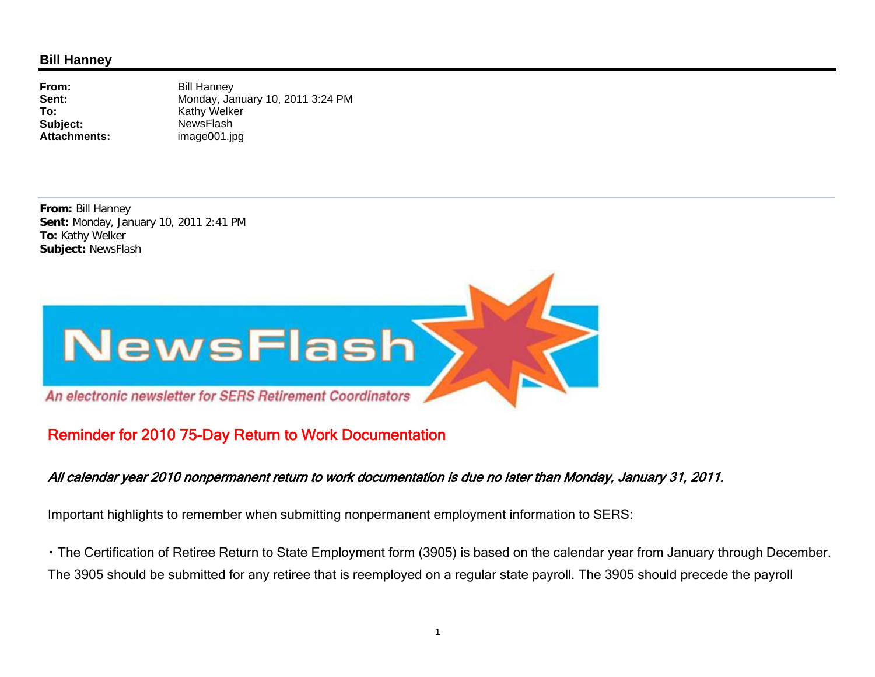## **Bill Hanney**

**From:Sent:To:**Subject: NewsFlash **Attachments:**

 Bill Hanney Monday, January 10, 2011 3:24 PM Kathy Welker image001.jpg

**From:** Bill Hanney **Sent:** Monday, January 10, 2011 2:41 PM **To:** Kathy Welker **Subject:** NewsFlash



## Reminder for 2010 75-Day Return to Work Documentation

## All calendar year 2010 nonpermanent return to work documentation is due no later than Monday, January 31, 2011.

Important highlights to remember when submitting nonpermanent employment information to SERS:

・ The Certification of Retiree Return to State Employment form (3905) is based on the calendar year from January through December. The 3905 should be submitted for any retiree that is reemployed on a regular state payroll. The 3905 should precede the payroll